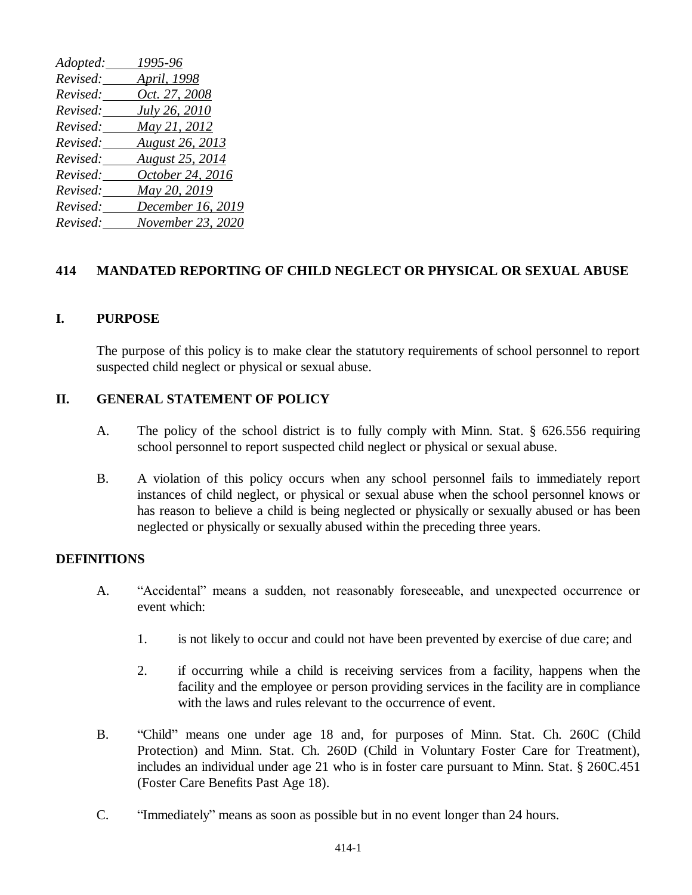| Adopted: | 1995-96           |
|----------|-------------------|
| Revised: | April, 1998       |
| Revised: | Oct. 27, 2008     |
| Revised: | July 26, 2010     |
| Revised: | May 21, 2012      |
| Revised: | August 26, 2013   |
| Revised: | August 25, 2014   |
| Revised: | October 24, 2016  |
| Revised: | May 20, 2019      |
| Revised: | December 16, 2019 |
| Revised: | November 23, 2020 |

## **414 MANDATED REPORTING OF CHILD NEGLECT OR PHYSICAL OR SEXUAL ABUSE**

### **I. PURPOSE**

The purpose of this policy is to make clear the statutory requirements of school personnel to report suspected child neglect or physical or sexual abuse.

### **II. GENERAL STATEMENT OF POLICY**

- A. The policy of the school district is to fully comply with Minn. Stat. § 626.556 requiring school personnel to report suspected child neglect or physical or sexual abuse.
- B. A violation of this policy occurs when any school personnel fails to immediately report instances of child neglect, or physical or sexual abuse when the school personnel knows or has reason to believe a child is being neglected or physically or sexually abused or has been neglected or physically or sexually abused within the preceding three years.

## **DEFINITIONS**

- A. "Accidental" means a sudden, not reasonably foreseeable, and unexpected occurrence or event which:
	- 1. is not likely to occur and could not have been prevented by exercise of due care; and
	- 2. if occurring while a child is receiving services from a facility, happens when the facility and the employee or person providing services in the facility are in compliance with the laws and rules relevant to the occurrence of event.
- B. "Child" means one under age 18 and, for purposes of Minn. Stat. Ch. 260C (Child Protection) and Minn. Stat. Ch. 260D (Child in Voluntary Foster Care for Treatment), includes an individual under age 21 who is in foster care pursuant to Minn. Stat. § 260C.451 (Foster Care Benefits Past Age 18).
- C. "Immediately" means as soon as possible but in no event longer than 24 hours.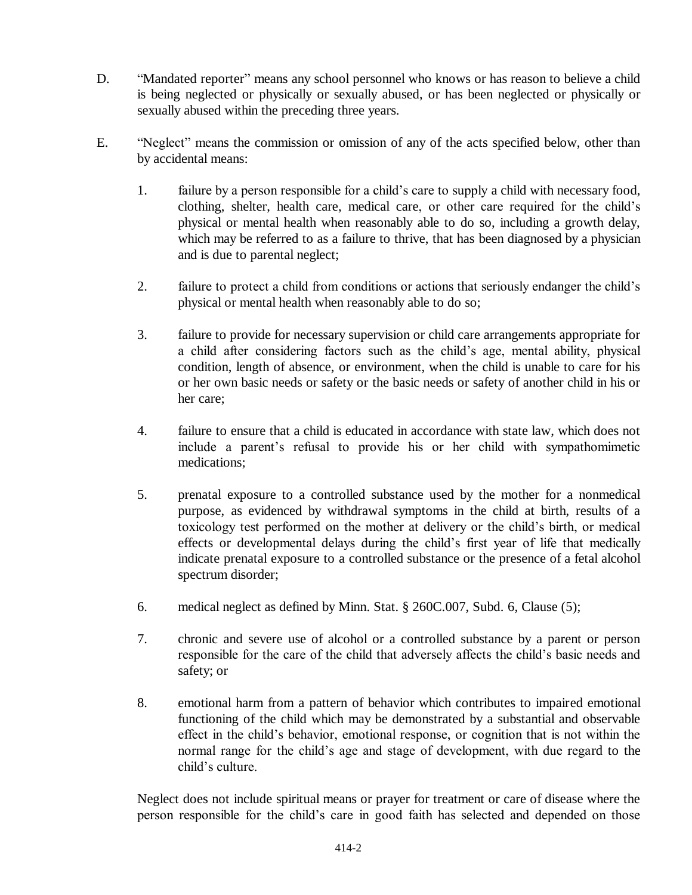- D. "Mandated reporter" means any school personnel who knows or has reason to believe a child is being neglected or physically or sexually abused, or has been neglected or physically or sexually abused within the preceding three years.
- E. "Neglect" means the commission or omission of any of the acts specified below, other than by accidental means:
	- 1. failure by a person responsible for a child's care to supply a child with necessary food, clothing, shelter, health care, medical care, or other care required for the child's physical or mental health when reasonably able to do so, including a growth delay, which may be referred to as a failure to thrive, that has been diagnosed by a physician and is due to parental neglect;
	- 2. failure to protect a child from conditions or actions that seriously endanger the child's physical or mental health when reasonably able to do so;
	- 3. failure to provide for necessary supervision or child care arrangements appropriate for a child after considering factors such as the child's age, mental ability, physical condition, length of absence, or environment, when the child is unable to care for his or her own basic needs or safety or the basic needs or safety of another child in his or her care;
	- 4. failure to ensure that a child is educated in accordance with state law, which does not include a parent's refusal to provide his or her child with sympathomimetic medications;
	- 5. prenatal exposure to a controlled substance used by the mother for a nonmedical purpose, as evidenced by withdrawal symptoms in the child at birth, results of a toxicology test performed on the mother at delivery or the child's birth, or medical effects or developmental delays during the child's first year of life that medically indicate prenatal exposure to a controlled substance or the presence of a fetal alcohol spectrum disorder;
	- 6. medical neglect as defined by Minn. Stat. § 260C.007, Subd. 6, Clause (5);
	- 7. chronic and severe use of alcohol or a controlled substance by a parent or person responsible for the care of the child that adversely affects the child's basic needs and safety; or
	- 8. emotional harm from a pattern of behavior which contributes to impaired emotional functioning of the child which may be demonstrated by a substantial and observable effect in the child's behavior, emotional response, or cognition that is not within the normal range for the child's age and stage of development, with due regard to the child's culture.

Neglect does not include spiritual means or prayer for treatment or care of disease where the person responsible for the child's care in good faith has selected and depended on those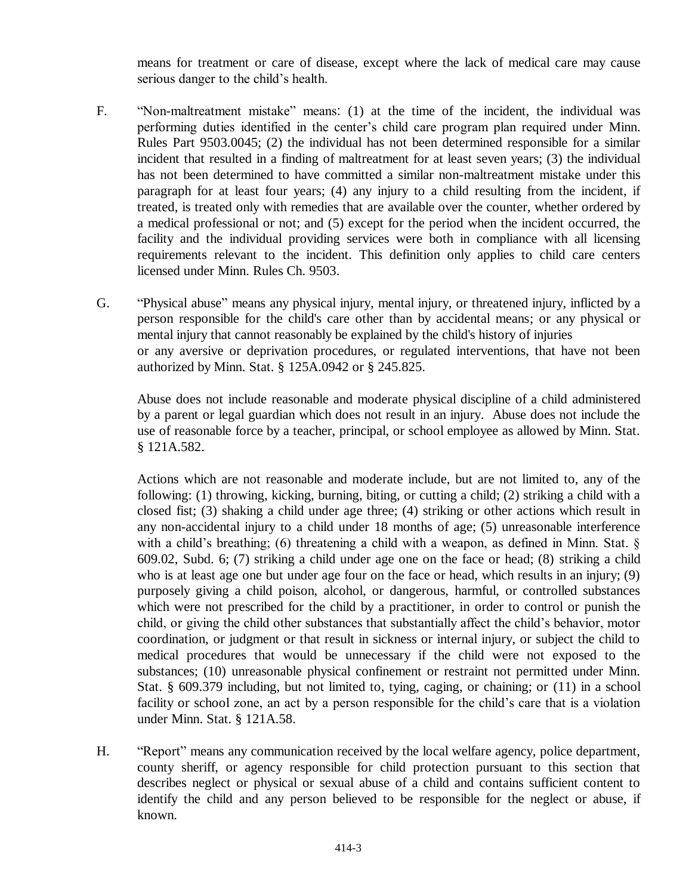means for treatment or care of disease, except where the lack of medical care may cause serious danger to the child's health.

- F. "Non-maltreatment mistake" means: (1) at the time of the incident, the individual was performing duties identified in the center's child care program plan required under Minn. Rules Part 9503.0045; (2) the individual has not been determined responsible for a similar incident that resulted in a finding of maltreatment for at least seven years; (3) the individual has not been determined to have committed a similar non-maltreatment mistake under this paragraph for at least four years; (4) any injury to a child resulting from the incident, if treated, is treated only with remedies that are available over the counter, whether ordered by a medical professional or not; and (5) except for the period when the incident occurred, the facility and the individual providing services were both in compliance with all licensing requirements relevant to the incident. This definition only applies to child care centers licensed under Minn. Rules Ch. 9503.
- G. "Physical abuse" means any physical injury, mental injury, or threatened injury, inflicted by a person responsible for the child's care other than by accidental means; or any physical or mental injury that cannot reasonably be explained by the child's history of injuries or any aversive or deprivation procedures, or regulated interventions, that have not been authorized by Minn. Stat. § 125A.0942 or § 245.825.

Abuse does not include reasonable and moderate physical discipline of a child administered by a parent or legal guardian which does not result in an injury. Abuse does not include the use of reasonable force by a teacher, principal, or school employee as allowed by Minn. Stat. § 121A.582.

Actions which are not reasonable and moderate include, but are not limited to, any of the following: (1) throwing, kicking, burning, biting, or cutting a child; (2) striking a child with a closed fist; (3) shaking a child under age three; (4) striking or other actions which result in any non-accidental injury to a child under 18 months of age; (5) unreasonable interference with a child's breathing; (6) threatening a child with a weapon, as defined in Minn. Stat. § 609.02, Subd. 6; (7) striking a child under age one on the face or head; (8) striking a child who is at least age one but under age four on the face or head, which results in an injury; (9) purposely giving a child poison, alcohol, or dangerous, harmful, or controlled substances which were not prescribed for the child by a practitioner, in order to control or punish the child, or giving the child other substances that substantially affect the child's behavior, motor coordination, or judgment or that result in sickness or internal injury, or subject the child to medical procedures that would be unnecessary if the child were not exposed to the substances; (10) unreasonable physical confinement or restraint not permitted under Minn. Stat. § 609.379 including, but not limited to, tying, caging, or chaining; or (11) in a school facility or school zone, an act by a person responsible for the child's care that is a violation under Minn. Stat. § 121A.58.

H. "Report" means any communication received by the local welfare agency, police department, county sheriff, or agency responsible for child protection pursuant to this section that describes neglect or physical or sexual abuse of a child and contains sufficient content to identify the child and any person believed to be responsible for the neglect or abuse, if known.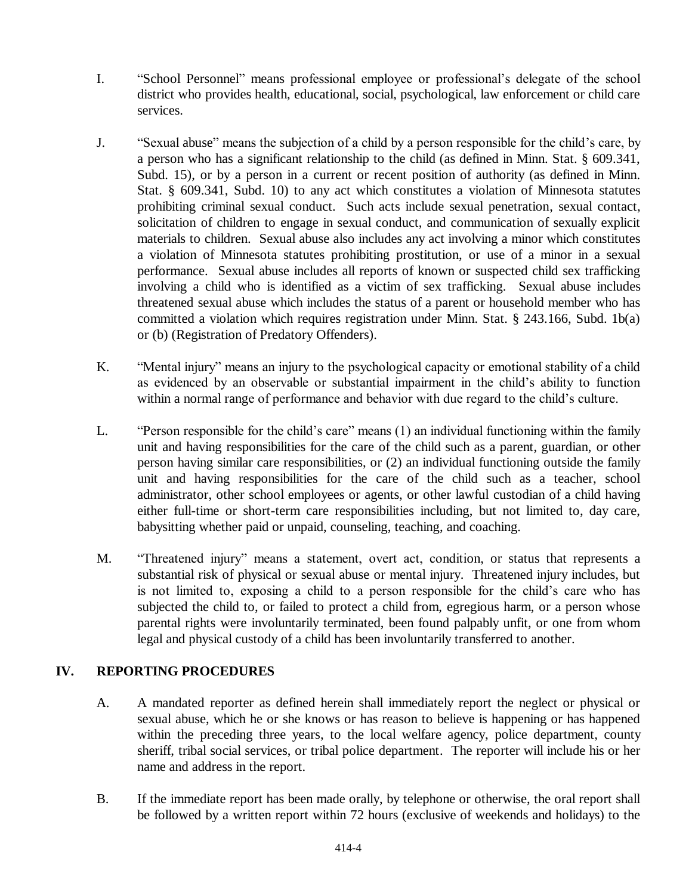- I. "School Personnel" means professional employee or professional's delegate of the school district who provides health, educational, social, psychological, law enforcement or child care services.
- J. "Sexual abuse" means the subjection of a child by a person responsible for the child's care, by a person who has a significant relationship to the child (as defined in Minn. Stat. § 609.341, Subd. 15), or by a person in a current or recent position of authority (as defined in Minn. Stat. § 609.341, Subd. 10) to any act which constitutes a violation of Minnesota statutes prohibiting criminal sexual conduct. Such acts include sexual penetration, sexual contact, solicitation of children to engage in sexual conduct, and communication of sexually explicit materials to children. Sexual abuse also includes any act involving a minor which constitutes a violation of Minnesota statutes prohibiting prostitution, or use of a minor in a sexual performance. Sexual abuse includes all reports of known or suspected child sex trafficking involving a child who is identified as a victim of sex trafficking. Sexual abuse includes threatened sexual abuse which includes the status of a parent or household member who has committed a violation which requires registration under Minn. Stat. § 243.166, Subd. 1b(a) or (b) (Registration of Predatory Offenders).
- K. "Mental injury" means an injury to the psychological capacity or emotional stability of a child as evidenced by an observable or substantial impairment in the child's ability to function within a normal range of performance and behavior with due regard to the child's culture.
- L. "Person responsible for the child's care" means (1) an individual functioning within the family unit and having responsibilities for the care of the child such as a parent, guardian, or other person having similar care responsibilities, or (2) an individual functioning outside the family unit and having responsibilities for the care of the child such as a teacher, school administrator, other school employees or agents, or other lawful custodian of a child having either full-time or short-term care responsibilities including, but not limited to, day care, babysitting whether paid or unpaid, counseling, teaching, and coaching.
- M. "Threatened injury" means a statement, overt act, condition, or status that represents a substantial risk of physical or sexual abuse or mental injury. Threatened injury includes, but is not limited to, exposing a child to a person responsible for the child's care who has subjected the child to, or failed to protect a child from, egregious harm, or a person whose parental rights were involuntarily terminated, been found palpably unfit, or one from whom legal and physical custody of a child has been involuntarily transferred to another.

# **IV. REPORTING PROCEDURES**

- A. A mandated reporter as defined herein shall immediately report the neglect or physical or sexual abuse, which he or she knows or has reason to believe is happening or has happened within the preceding three years, to the local welfare agency, police department, county sheriff, tribal social services, or tribal police department. The reporter will include his or her name and address in the report.
- B. If the immediate report has been made orally, by telephone or otherwise, the oral report shall be followed by a written report within 72 hours (exclusive of weekends and holidays) to the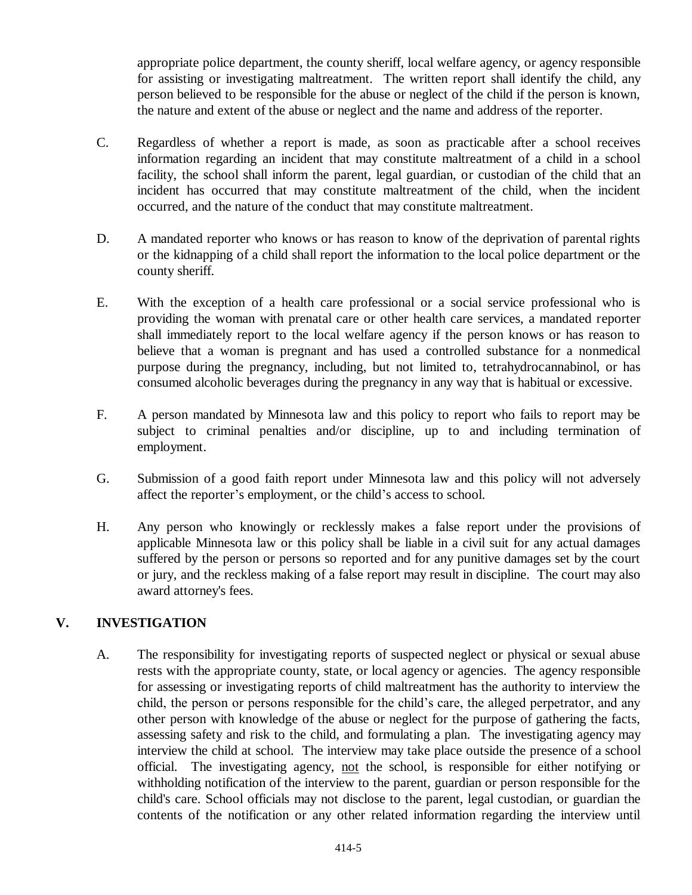appropriate police department, the county sheriff, local welfare agency, or agency responsible for assisting or investigating maltreatment. The written report shall identify the child, any person believed to be responsible for the abuse or neglect of the child if the person is known, the nature and extent of the abuse or neglect and the name and address of the reporter.

- C. Regardless of whether a report is made, as soon as practicable after a school receives information regarding an incident that may constitute maltreatment of a child in a school facility, the school shall inform the parent, legal guardian, or custodian of the child that an incident has occurred that may constitute maltreatment of the child, when the incident occurred, and the nature of the conduct that may constitute maltreatment.
- D. A mandated reporter who knows or has reason to know of the deprivation of parental rights or the kidnapping of a child shall report the information to the local police department or the county sheriff.
- E. With the exception of a health care professional or a social service professional who is providing the woman with prenatal care or other health care services, a mandated reporter shall immediately report to the local welfare agency if the person knows or has reason to believe that a woman is pregnant and has used a controlled substance for a nonmedical purpose during the pregnancy, including, but not limited to, tetrahydrocannabinol, or has consumed alcoholic beverages during the pregnancy in any way that is habitual or excessive.
- F. A person mandated by Minnesota law and this policy to report who fails to report may be subject to criminal penalties and/or discipline, up to and including termination of employment.
- G. Submission of a good faith report under Minnesota law and this policy will not adversely affect the reporter's employment, or the child's access to school.
- H. Any person who knowingly or recklessly makes a false report under the provisions of applicable Minnesota law or this policy shall be liable in a civil suit for any actual damages suffered by the person or persons so reported and for any punitive damages set by the court or jury, and the reckless making of a false report may result in discipline. The court may also award attorney's fees.

## **V. INVESTIGATION**

A. The responsibility for investigating reports of suspected neglect or physical or sexual abuse rests with the appropriate county, state, or local agency or agencies. The agency responsible for assessing or investigating reports of child maltreatment has the authority to interview the child, the person or persons responsible for the child's care, the alleged perpetrator, and any other person with knowledge of the abuse or neglect for the purpose of gathering the facts, assessing safety and risk to the child, and formulating a plan. The investigating agency may interview the child at school. The interview may take place outside the presence of a school official. The investigating agency, not the school, is responsible for either notifying or withholding notification of the interview to the parent, guardian or person responsible for the child's care. School officials may not disclose to the parent, legal custodian, or guardian the contents of the notification or any other related information regarding the interview until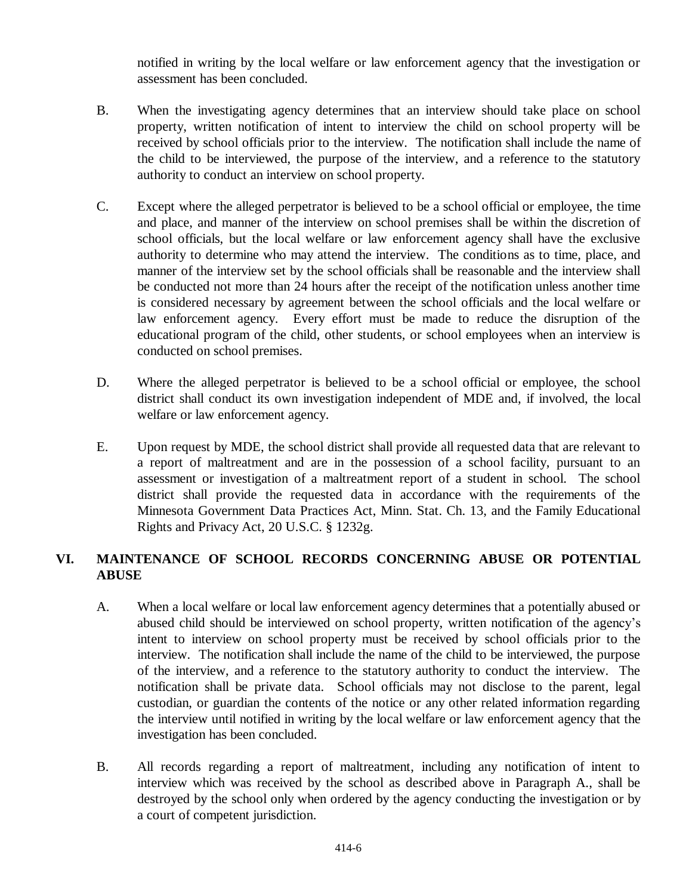notified in writing by the local welfare or law enforcement agency that the investigation or assessment has been concluded.

- B. When the investigating agency determines that an interview should take place on school property, written notification of intent to interview the child on school property will be received by school officials prior to the interview. The notification shall include the name of the child to be interviewed, the purpose of the interview, and a reference to the statutory authority to conduct an interview on school property.
- C. Except where the alleged perpetrator is believed to be a school official or employee, the time and place, and manner of the interview on school premises shall be within the discretion of school officials, but the local welfare or law enforcement agency shall have the exclusive authority to determine who may attend the interview. The conditions as to time, place, and manner of the interview set by the school officials shall be reasonable and the interview shall be conducted not more than 24 hours after the receipt of the notification unless another time is considered necessary by agreement between the school officials and the local welfare or law enforcement agency. Every effort must be made to reduce the disruption of the educational program of the child, other students, or school employees when an interview is conducted on school premises.
- D. Where the alleged perpetrator is believed to be a school official or employee, the school district shall conduct its own investigation independent of MDE and, if involved, the local welfare or law enforcement agency.
- E. Upon request by MDE, the school district shall provide all requested data that are relevant to a report of maltreatment and are in the possession of a school facility, pursuant to an assessment or investigation of a maltreatment report of a student in school. The school district shall provide the requested data in accordance with the requirements of the Minnesota Government Data Practices Act, Minn. Stat. Ch. 13, and the Family Educational Rights and Privacy Act, 20 U.S.C. § 1232g.

## **VI. MAINTENANCE OF SCHOOL RECORDS CONCERNING ABUSE OR POTENTIAL ABUSE**

- A. When a local welfare or local law enforcement agency determines that a potentially abused or abused child should be interviewed on school property, written notification of the agency's intent to interview on school property must be received by school officials prior to the interview. The notification shall include the name of the child to be interviewed, the purpose of the interview, and a reference to the statutory authority to conduct the interview. The notification shall be private data. School officials may not disclose to the parent, legal custodian, or guardian the contents of the notice or any other related information regarding the interview until notified in writing by the local welfare or law enforcement agency that the investigation has been concluded.
- B. All records regarding a report of maltreatment, including any notification of intent to interview which was received by the school as described above in Paragraph A., shall be destroyed by the school only when ordered by the agency conducting the investigation or by a court of competent jurisdiction.